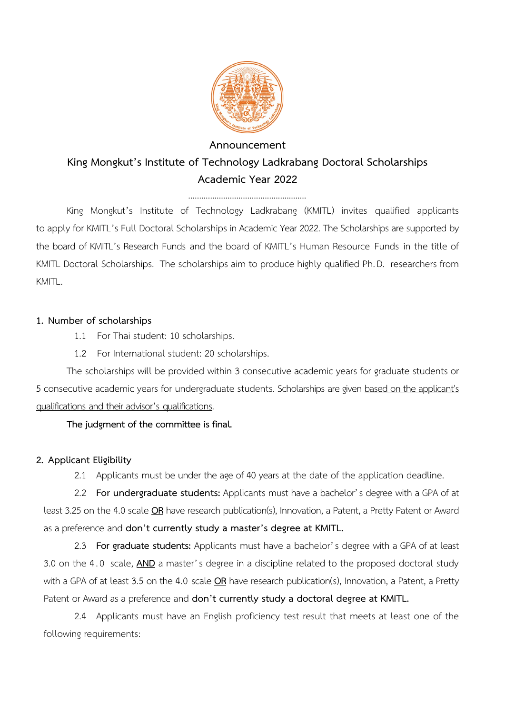

### **Announcement King Mongkut's Institute of Technology Ladkrabang Doctoral Scholarships Academic Year 2022**

King Mongkut's Institute of Technology Ladkrabang (KMITL) invites qualified applicants to apply for KMITL's Full Doctoral Scholarships in Academic Year 2022. The Scholarships are supported by the board of KMITL's Research Funds and the board of KMITL's Human Resource Funds in the title of KMITL Doctoral Scholarships. The scholarships aim to produce highly qualified Ph. D. researchers from KMITI

#### **1. Number of scholarships**

- 1.1 For Thai student: 10 scholarships.
- 1.2 For International student: 20 scholarships.

The scholarships will be provided within 3 consecutive academic years for graduate students or 5 consecutive academic years for undergraduate students. Scholarships are given based on the applicant's qualifications and their advisor's qualifications.

#### **The judgment of the committee is final.**

#### **2. Applicant Eligibility**

2.1 Applicants must be under the age of 40 years at the date of the application deadline.

2.2 **For undergraduate students:** Applicants must have a bachelor's degree with a GPA of at least 3.25 on the 4.0 scale **OR** have research publication(s), Innovation, a Patent, a Pretty Patent or Award as a preference and **don't currently study a master's degree at KMITL.**

2.3 **For graduate students:** Applicants must have a bachelor's degree with a GPA of at least 3.0 on the 4. 0 scale, **AND** a master's degree in a discipline related to the proposed doctoral study with a GPA of at least 3.5 on the 4.0 scale **OR** have research publication(s), Innovation, a Patent, a Pretty Patent or Award as a preference and **don't currently study a doctoral degree at KMITL.**

2.4 Applicants must have an English proficiency test result that meets at least one of the following requirements: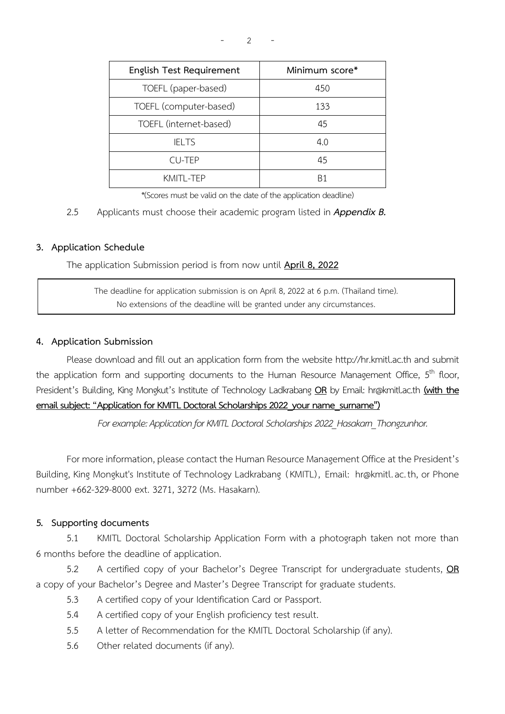| Minimum score* |
|----------------|
| 450            |
| 133            |
| 45             |
| 4.0            |
| 45             |
| B1             |
|                |

 $- 2 - 1$ 

\*(Scores must be valid on the date of the application deadline)

#### 2.5 Applicants must choose their academic program listed in *Appendix B.*

#### **3. Application Schedule**

The application Submission period is from now until **April 8, 2022**

The deadline for application submission is on April 8, 2022 at 6 p.m. (Thailand time). No extensions of the deadline will be granted under any circumstances.

#### **4. Application Submission**

Please download and fill out an application form from the website http://hr.kmitl.ac.th and submit the application form and supporting documents to the Human Resource Management Office, 5<sup>th</sup> floor, President's Building, King Mongkut's Institute of Technology Ladkrabang **OR** by Email: hr@kmitl.ac.th **(with the email subject:"Application for KMITL Doctoral Scholarships 2022\_your name\_surname")**

For example: Application for KMITL Doctoral Scholarships 2022 Hasakarn Thongzunhor.

For more information, please contact the Human Resource Management Office at the President's Building, King Mongkut's Institute of Technology Ladkrabang (KMITL) , Email: [hr@kmitl](mailto:hr@kmitl.ac.th).ac.th, or Phone number +662-329-8000 ext. 3271, 3272 (Ms. Hasakarn).

#### **5. Supporting documents**

5.1 KMITL Doctoral Scholarship Application Form with a photograph taken not more than 6 months before the deadline of application.

5.2 A certified copy of your Bachelor's Degree Transcript for undergraduate students, **OR** a copy of your Bachelor's Degree and Master's Degree Transcript for graduate students.

- 5.3 A certified copy of your Identification Card or Passport.
- 5.4 A certified copy of your English proficiency test result.
- 5.5 A letter of Recommendation for the KMITL Doctoral Scholarship (if any).
- 5.6 Other related documents (if any).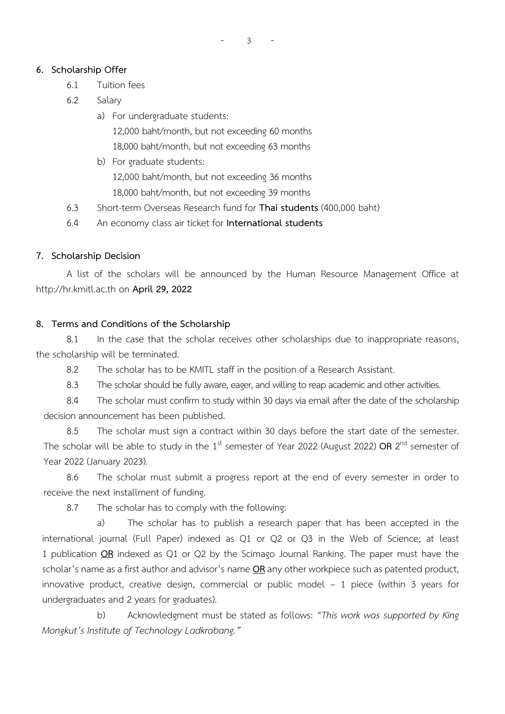$- 3 - 5$ 

#### **6. Scholarship Offer**

- 6.1 Tuition fees
- 6.2 Salary

a) For undergraduate students: 12,000 baht/month, but not exceeding 60 months 18,000 baht/month, but not exceeding 63 months

b) For graduate students: 12,000 baht/month, but not exceeding 36 months 18,000 baht/month, but not exceeding 39 months

6.3 Short-term Overseas Research fund for **Thai students** (400,000 baht)

6.4 An economy class air ticket for **International students**

#### **7. Scholarship Decision**

A list of the scholars will be announced by the Human Resource Management Office at [http](http://hr/)://hr.kmitl.ac.th on **April 29, 2022**

#### **8. Terms and Conditions of the Scholarship**

8.1 In the case that the scholar receives other scholarships due to inappropriate reasons, the scholarship will be terminated.

8.2 The scholar has to be KMITL staff in the position of a Research Assistant.

8.3 The scholar should be fully aware, eager, and willing to reap academic and other activities.

8.4 The scholar must confirm to study within 30 days via email after the date of the scholarship decision announcement has been published.

8.5 The scholar must sign a contract within 30 days before the start date of the semester. The scholar will be able to study in the 1<sup>st</sup> semester of Year 2022 (August 2022) **OR** 2<sup>nd</sup> semester of Year 2022 (January 2023).

8.6 The scholar must submit a progress report at the end of every semester in order to receive the next installment of funding.

8.7 The scholar has to comply with the following:

a) The scholar has to publish a research paper that has been accepted in the international journal (Full Paper) indexed as Q1 or Q2 or Q3 in the Web of Science; at least 1 publication **OR** indexed as Q1 or Q2 by the Scimago Journal Ranking. The paper must have the scholar's name as a first author and advisor's name **OR** any other workpiece such as patented product, innovative product, creative design, commercial or public model – 1 piece (within 3 years for undergraduates and 2 years for graduates).

b) Acknowledgment must be stated as follows: *"This work was supported by King Mongkut's Institute of Technology Ladkrabang."*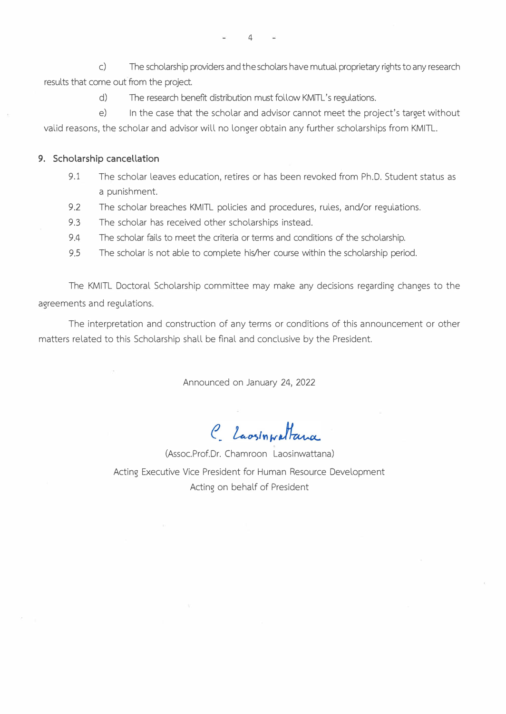c) The scholarship providers and the scholars have mutual proprietary rights to any research results that come out from the project.

d) The research benefit distribution must follow KMITL's regulations.

e) In the case that the scholar and advisor cannot meet the project's target without valid reasons, the scholar and advisor will no longer obtain any further scholarships from KMITL.

#### **9. Scholarship cancellation**

- 9.1 The scholar leaves education, retires or has been revoked from Ph.D. Student status as a punishment.
- 9.2 The scholar breaches KMITL policies and procedures, rules, and/or regulations.
- 9.3 The scholar has received other scholarships instead.
- 9.4 The scholar fails to meet the criteria or terms and conditions of the scholarship.
- 9.5 The scholar is not able to complete his/her course within the scholarship period.

The KMITL Doctoral Scholarship committee may make any decisions regarding changes to the agreements and regulations.

The interpretation and construction of any terms or conditions of this announcement or other matters related to this Scholarship shall be final and conclusive by the President.

Announced on January 24, 2022

C Laosinwattana

(Assoc.Prof.Or. Chamroon Laosinwattana) Acting Executive Vice President for Human Resource Development Acting on behalf of President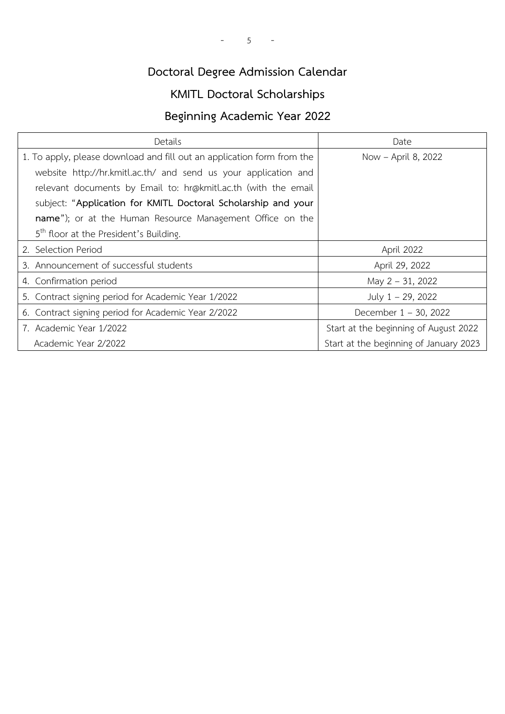# **Doctoral Degree Admission Calendar**

# **KMITL Doctoral Scholarships**

### **Beginning Academic Year 2022**

| Details                                                                | Date                                   |
|------------------------------------------------------------------------|----------------------------------------|
| 1. To apply, please download and fill out an application form from the | Now - April 8, 2022                    |
| website http://hr.kmitl.ac.th/ and send us your application and        |                                        |
| relevant documents by Email to: hr@kmitl.ac.th (with the email         |                                        |
| subject: "Application for KMITL Doctoral Scholarship and your          |                                        |
| name"); or at the Human Resource Management Office on the              |                                        |
| 5 <sup>th</sup> floor at the President's Building.                     |                                        |
| 2. Selection Period                                                    | April 2022                             |
| 3. Announcement of successful students                                 | April 29, 2022                         |
| 4. Confirmation period                                                 | May 2 - 31, 2022                       |
| 5. Contract signing period for Academic Year 1/2022                    | July 1 - 29, 2022                      |
| 6. Contract signing period for Academic Year 2/2022                    | December $1 - 30$ , 2022               |
| 7. Academic Year 1/2022                                                | Start at the beginning of August 2022  |
| Academic Year 2/2022                                                   | Start at the beginning of January 2023 |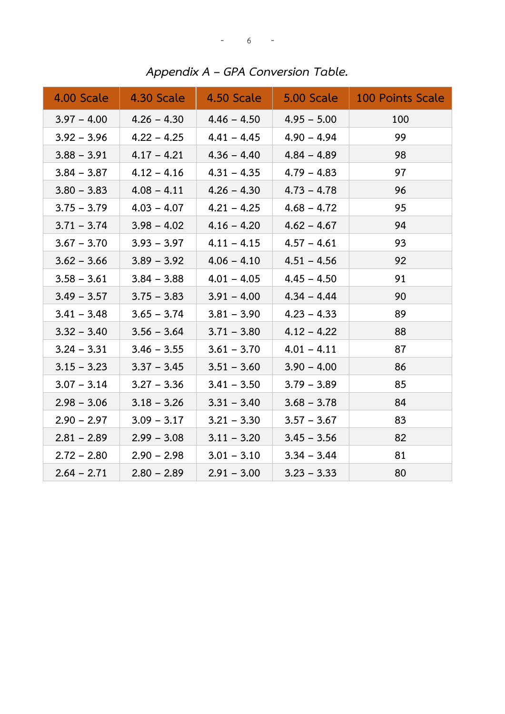| 4.00 Scale    | 4.30 Scale    | 4.50 Scale    | 5.00 Scale    | 100 Points Scale |
|---------------|---------------|---------------|---------------|------------------|
| $3.97 - 4.00$ | $4.26 - 4.30$ | $4.46 - 4.50$ | $4.95 - 5.00$ | 100              |
| $3.92 - 3.96$ | $4.22 - 4.25$ | $4.41 - 4.45$ | $4.90 - 4.94$ | 99               |
| $3.88 - 3.91$ | $4.17 - 4.21$ | $4.36 - 4.40$ | $4.84 - 4.89$ | 98               |
| $3.84 - 3.87$ | $4.12 - 4.16$ | $4.31 - 4.35$ | $4.79 - 4.83$ | 97               |
| $3.80 - 3.83$ | $4.08 - 4.11$ | $4.26 - 4.30$ | $4.73 - 4.78$ | 96               |
| $3.75 - 3.79$ | $4.03 - 4.07$ | $4.21 - 4.25$ | $4.68 - 4.72$ | 95               |
| $3.71 - 3.74$ | $3.98 - 4.02$ | $4.16 - 4.20$ | $4.62 - 4.67$ | 94               |
| $3.67 - 3.70$ | $3.93 - 3.97$ | $4.11 - 4.15$ | $4.57 - 4.61$ | 93               |
| $3.62 - 3.66$ | $3.89 - 3.92$ | $4.06 - 4.10$ | $4.51 - 4.56$ | 92               |
| $3.58 - 3.61$ | $3.84 - 3.88$ | $4.01 - 4.05$ | $4.45 - 4.50$ | 91               |
| $3.49 - 3.57$ | $3.75 - 3.83$ | $3.91 - 4.00$ | $4.34 - 4.44$ | 90               |
| $3.41 - 3.48$ | $3.65 - 3.74$ | $3.81 - 3.90$ | $4.23 - 4.33$ | 89               |
| $3.32 - 3.40$ | $3.56 - 3.64$ | $3.71 - 3.80$ | $4.12 - 4.22$ | 88               |
| $3.24 - 3.31$ | $3.46 - 3.55$ | $3.61 - 3.70$ | $4.01 - 4.11$ | 87               |
| $3.15 - 3.23$ | $3.37 - 3.45$ | $3.51 - 3.60$ | $3.90 - 4.00$ | 86               |
| $3.07 - 3.14$ | $3.27 - 3.36$ | $3.41 - 3.50$ | $3.79 - 3.89$ | 85               |
| $2.98 - 3.06$ | $3.18 - 3.26$ | $3.31 - 3.40$ | $3.68 - 3.78$ | 84               |
| $2.90 - 2.97$ | $3.09 - 3.17$ | $3.21 - 3.30$ | $3.57 - 3.67$ | 83               |
| $2.81 - 2.89$ | $2.99 - 3.08$ | $3.11 - 3.20$ | $3.45 - 3.56$ | 82               |
| $2.72 - 2.80$ | $2.90 - 2.98$ | $3.01 - 3.10$ | $3.34 - 3.44$ | 81               |
| $2.64 - 2.71$ | $2.80 - 2.89$ | $2.91 - 3.00$ | $3.23 - 3.33$ | 80               |

*Appendix A – GPA Conversion Table.*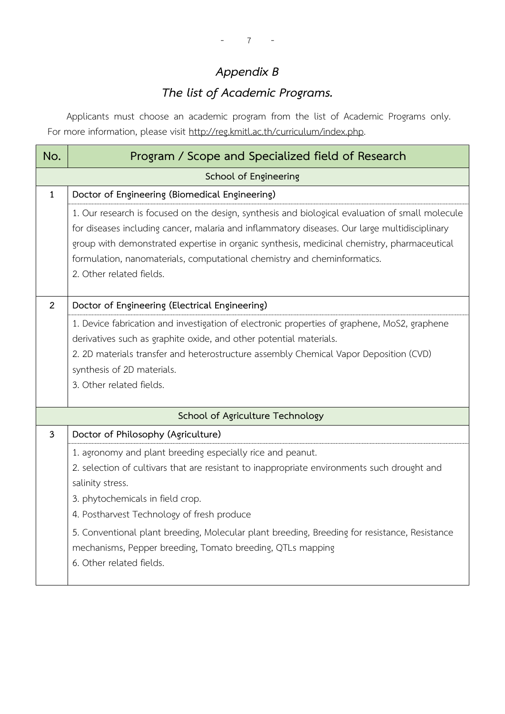# *Appendix B*

# *The list of Academic Programs.*

Applicants must choose an academic program from the list of Academic Programs only. For more information, please visit [http://reg.kmitl.ac.th/curriculum/index.php.](http://reg.kmitl.ac.th/curriculum/index.php)

| No.            | Program / Scope and Specialized field of Research                                                                                                                                                                                                                                                                                                                                                                                                          |
|----------------|------------------------------------------------------------------------------------------------------------------------------------------------------------------------------------------------------------------------------------------------------------------------------------------------------------------------------------------------------------------------------------------------------------------------------------------------------------|
|                | School of Engineering                                                                                                                                                                                                                                                                                                                                                                                                                                      |
| $\mathbf{1}$   | Doctor of Engineering (Biomedical Engineering)                                                                                                                                                                                                                                                                                                                                                                                                             |
|                | 1. Our research is focused on the design, synthesis and biological evaluation of small molecule<br>for diseases including cancer, malaria and inflammatory diseases. Our large multidisciplinary<br>group with demonstrated expertise in organic synthesis, medicinal chemistry, pharmaceutical<br>formulation, nanomaterials, computational chemistry and cheminformatics.<br>2. Other related fields.                                                    |
| $\overline{2}$ | Doctor of Engineering (Electrical Engineering)                                                                                                                                                                                                                                                                                                                                                                                                             |
|                | 1. Device fabrication and investigation of electronic properties of graphene, MoS2, graphene<br>derivatives such as graphite oxide, and other potential materials.<br>2. 2D materials transfer and heterostructure assembly Chemical Vapor Deposition (CVD)<br>synthesis of 2D materials.<br>3. Other related fields.                                                                                                                                      |
|                | School of Agriculture Technology                                                                                                                                                                                                                                                                                                                                                                                                                           |
| 3              | Doctor of Philosophy (Agriculture)                                                                                                                                                                                                                                                                                                                                                                                                                         |
|                | 1. agronomy and plant breeding especially rice and peanut.<br>2. selection of cultivars that are resistant to inappropriate environments such drought and<br>salinity stress.<br>3. phytochemicals in field crop.<br>4. Postharvest Technology of fresh produce<br>5. Conventional plant breeding, Molecular plant breeding, Breeding for resistance, Resistance<br>mechanisms, Pepper breeding, Tomato breeding, QTLs mapping<br>6. Other related fields. |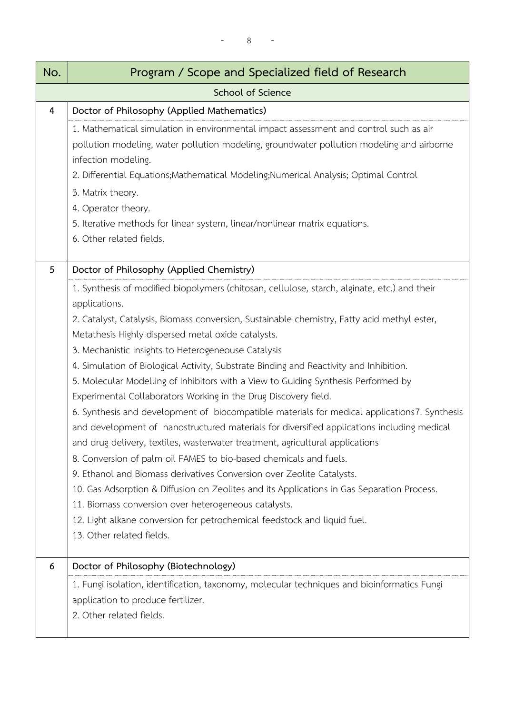| No.            | Program / Scope and Specialized field of Research                                                                                                                                                                                                                                                                                                                                                                                                                                                                                                                                                                                                                                                                                                                                                                                                                                                                                                                                                                                                                                                                                                                                                                                                                        |
|----------------|--------------------------------------------------------------------------------------------------------------------------------------------------------------------------------------------------------------------------------------------------------------------------------------------------------------------------------------------------------------------------------------------------------------------------------------------------------------------------------------------------------------------------------------------------------------------------------------------------------------------------------------------------------------------------------------------------------------------------------------------------------------------------------------------------------------------------------------------------------------------------------------------------------------------------------------------------------------------------------------------------------------------------------------------------------------------------------------------------------------------------------------------------------------------------------------------------------------------------------------------------------------------------|
|                | School of Science                                                                                                                                                                                                                                                                                                                                                                                                                                                                                                                                                                                                                                                                                                                                                                                                                                                                                                                                                                                                                                                                                                                                                                                                                                                        |
| $\overline{4}$ | Doctor of Philosophy (Applied Mathematics)                                                                                                                                                                                                                                                                                                                                                                                                                                                                                                                                                                                                                                                                                                                                                                                                                                                                                                                                                                                                                                                                                                                                                                                                                               |
|                | 1. Mathematical simulation in environmental impact assessment and control such as air<br>pollution modeling, water pollution modeling, groundwater pollution modeling and airborne<br>infection modeling.<br>2. Differential Equations; Mathematical Modeling; Numerical Analysis; Optimal Control<br>3. Matrix theory.<br>4. Operator theory.<br>5. Iterative methods for linear system, linear/nonlinear matrix equations.<br>6. Other related fields.                                                                                                                                                                                                                                                                                                                                                                                                                                                                                                                                                                                                                                                                                                                                                                                                                 |
| 5              | Doctor of Philosophy (Applied Chemistry)                                                                                                                                                                                                                                                                                                                                                                                                                                                                                                                                                                                                                                                                                                                                                                                                                                                                                                                                                                                                                                                                                                                                                                                                                                 |
|                | 1. Synthesis of modified biopolymers (chitosan, cellulose, starch, alginate, etc.) and their<br>applications.<br>2. Catalyst, Catalysis, Biomass conversion, Sustainable chemistry, Fatty acid methyl ester,<br>Metathesis Highly dispersed metal oxide catalysts.<br>3. Mechanistic Insights to Heterogeneouse Catalysis<br>4. Simulation of Biological Activity, Substrate Binding and Reactivity and Inhibition.<br>5. Molecular Modelling of Inhibitors with a View to Guiding Synthesis Performed by<br>Experimental Collaborators Working in the Drug Discovery field.<br>6. Synthesis and development of biocompatible materials for medical applications7. Synthesis<br>and development of nanostructured materials for diversified applications including medical<br>and drug delivery, textiles, wasterwater treatment, agricultural applications<br>8. Conversion of palm oil FAMES to bio-based chemicals and fuels.<br>9. Ethanol and Biomass derivatives Conversion over Zeolite Catalysts.<br>10. Gas Adsorption & Diffusion on Zeolites and its Applications in Gas Separation Process.<br>11. Biomass conversion over heterogeneous catalysts.<br>12. Light alkane conversion for petrochemical feedstock and liquid fuel.<br>13. Other related fields. |
| 6              | Doctor of Philosophy (Biotechnology)<br>1. Fungi isolation, identification, taxonomy, molecular techniques and bioinformatics Fungi<br>application to produce fertilizer.<br>2. Other related fields.                                                                                                                                                                                                                                                                                                                                                                                                                                                                                                                                                                                                                                                                                                                                                                                                                                                                                                                                                                                                                                                                    |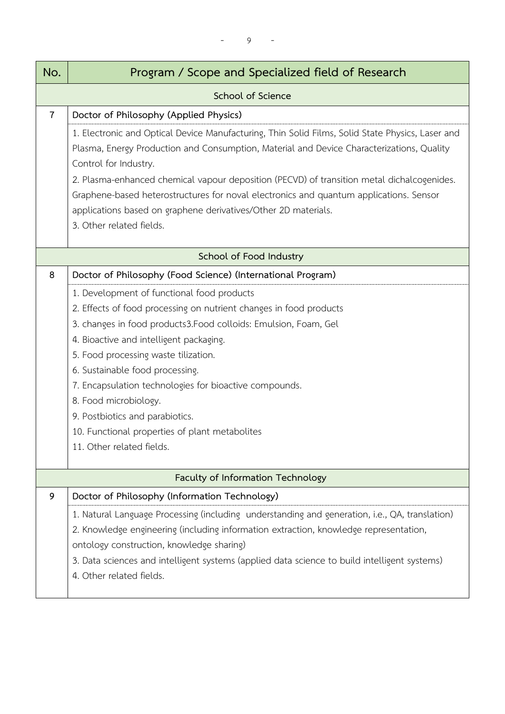- 9 -

| No.            | Program / Scope and Specialized field of Research                                                                                                                                                                      |
|----------------|------------------------------------------------------------------------------------------------------------------------------------------------------------------------------------------------------------------------|
|                | <b>School of Science</b>                                                                                                                                                                                               |
| $\overline{7}$ | Doctor of Philosophy (Applied Physics)                                                                                                                                                                                 |
|                | 1. Electronic and Optical Device Manufacturing, Thin Solid Films, Solid State Physics, Laser and<br>Plasma, Energy Production and Consumption, Material and Device Characterizations, Quality<br>Control for Industry. |
|                | 2. Plasma-enhanced chemical vapour deposition (PECVD) of transition metal dichalcogenides.                                                                                                                             |
|                | Graphene-based heterostructures for noval electronics and quantum applications. Sensor<br>applications based on graphene derivatives/Other 2D materials.                                                               |
|                | 3. Other related fields.                                                                                                                                                                                               |
|                |                                                                                                                                                                                                                        |
|                | School of Food Industry                                                                                                                                                                                                |
| 8              | Doctor of Philosophy (Food Science) (International Program)                                                                                                                                                            |
|                | 1. Development of functional food products                                                                                                                                                                             |
|                | 2. Effects of food processing on nutrient changes in food products                                                                                                                                                     |
|                | 3. changes in food products3.Food colloids: Emulsion, Foam, Gel                                                                                                                                                        |
|                | 4. Bioactive and intelligent packaging.                                                                                                                                                                                |
|                | 5. Food processing waste tilization.                                                                                                                                                                                   |
|                | 6. Sustainable food processing.                                                                                                                                                                                        |
|                | 7. Encapsulation technologies for bioactive compounds.                                                                                                                                                                 |
|                | 8. Food microbiology.                                                                                                                                                                                                  |
|                | 9. Postbiotics and parabiotics.                                                                                                                                                                                        |
|                | 10. Functional properties of plant metabolites                                                                                                                                                                         |
|                | 11. Other related fields.                                                                                                                                                                                              |
|                | Faculty of Information Technology                                                                                                                                                                                      |
| 9              | Doctor of Philosophy (Information Technology)                                                                                                                                                                          |
|                | 1. Natural Language Processing (including understanding and generation, i.e., QA, translation)                                                                                                                         |
|                | 2. Knowledge engineering (including information extraction, knowledge representation,                                                                                                                                  |
|                | ontology construction, knowledge sharing)                                                                                                                                                                              |
|                | 3. Data sciences and intelligent systems (applied data science to build intelligent systems)<br>4. Other related fields.                                                                                               |
|                |                                                                                                                                                                                                                        |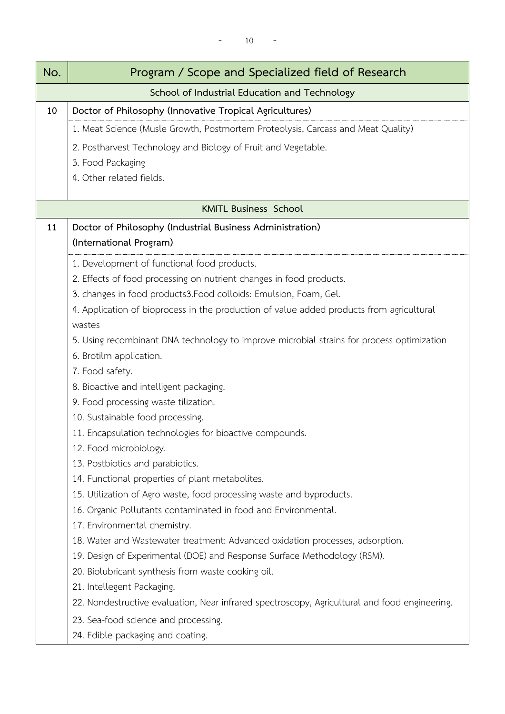| No. | Program / Scope and Specialized field of Research                                                                              |
|-----|--------------------------------------------------------------------------------------------------------------------------------|
|     | School of Industrial Education and Technology                                                                                  |
| 10  | Doctor of Philosophy (Innovative Tropical Agricultures)                                                                        |
|     | 1. Meat Science (Musle Growth, Postmortem Proteolysis, Carcass and Meat Quality)                                               |
|     | 2. Postharvest Technology and Biology of Fruit and Vegetable.                                                                  |
|     | 3. Food Packaging                                                                                                              |
|     | 4. Other related fields.                                                                                                       |
|     |                                                                                                                                |
|     | <b>KMITL Business School</b>                                                                                                   |
| 11  | Doctor of Philosophy (Industrial Business Administration)                                                                      |
|     | (International Program)                                                                                                        |
|     | 1. Development of functional food products.                                                                                    |
|     | 2. Effects of food processing on nutrient changes in food products.                                                            |
|     | 3. changes in food products3. Food colloids: Emulsion, Foam, Gel.                                                              |
|     | 4. Application of bioprocess in the production of value added products from agricultural                                       |
|     | wastes                                                                                                                         |
|     | 5. Using recombinant DNA technology to improve microbial strains for process optimization                                      |
|     | 6. Brotilm application.                                                                                                        |
|     | 7. Food safety.                                                                                                                |
|     | 8. Bioactive and intelligent packaging.                                                                                        |
|     | 9. Food processing waste tilization.                                                                                           |
|     | 10. Sustainable food processing.                                                                                               |
|     | 11. Encapsulation technologies for bioactive compounds.                                                                        |
|     | 12. Food microbiology.                                                                                                         |
|     | 13. Postbiotics and parabiotics.                                                                                               |
|     | 14. Functional properties of plant metabolites.                                                                                |
|     | 15. Utilization of Agro waste, food processing waste and byproducts.                                                           |
|     | 16. Organic Pollutants contaminated in food and Environmental.                                                                 |
|     | 17. Environmental chemistry.                                                                                                   |
|     | 18. Water and Wastewater treatment: Advanced oxidation processes, adsorption.                                                  |
|     | 19. Design of Experimental (DOE) and Response Surface Methodology (RSM).<br>20. Biolubricant synthesis from waste cooking oil. |
|     | 21. Intellegent Packaging.                                                                                                     |
|     | 22. Nondestructive evaluation, Near infrared spectroscopy, Agricultural and food engineering.                                  |
|     |                                                                                                                                |
|     | 23. Sea-food science and processing.                                                                                           |
|     | 24. Edible packaging and coating.                                                                                              |